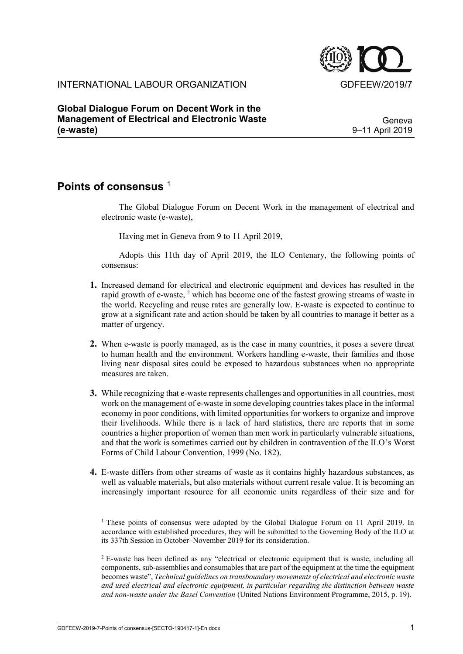

## INTERNATIONAL LABOUR ORGANIZATION GDFEEW/2019/7

**Global Dialogue Forum on Decent Work in the Management of Electrical and Electronic Waste (e-waste)**

Geneva 9–11 April 2019

## **Points of consensus** <sup>1</sup>

The Global Dialogue Forum on Decent Work in the management of electrical and electronic waste (e-waste),

Having met in Geneva from 9 to 11 April 2019,

Adopts this 11th day of April 2019, the ILO Centenary, the following points of consensus:

- **1.** Increased demand for electrical and electronic equipment and devices has resulted in the rapid growth of e-waste, <sup>2</sup> which has become one of the fastest growing streams of waste in the world. Recycling and reuse rates are generally low. E-waste is expected to continue to grow at a significant rate and action should be taken by all countries to manage it better as a matter of urgency.
- **2.** When e-waste is poorly managed, as is the case in many countries, it poses a severe threat to human health and the environment. Workers handling e-waste, their families and those living near disposal sites could be exposed to hazardous substances when no appropriate measures are taken.
- **3.** While recognizing that e-waste represents challenges and opportunities in all countries, most work on the management of e-waste in some developing countries takes place in the informal economy in poor conditions, with limited opportunities for workers to organize and improve their livelihoods. While there is a lack of hard statistics, there are reports that in some countries a higher proportion of women than men work in particularly vulnerable situations, and that the work is sometimes carried out by children in contravention of the ILO's Worst Forms of Child Labour Convention, 1999 (No. 182).
- **4.** E-waste differs from other streams of waste as it contains highly hazardous substances, as well as valuable materials, but also materials without current resale value. It is becoming an increasingly important resource for all economic units regardless of their size and for

<sup>2</sup> E-waste has been defined as any "electrical or electronic equipment that is waste, including all components, sub-assemblies and consumables that are part of the equipment at the time the equipment becomes waste", *Technical guidelines on transboundary movements of electrical and electronic waste and used electrical and electronic equipment, in particular regarding the distinction between waste and non-waste under the Basel Convention* (United Nations Environment Programme, 2015, p. 19).

<sup>&</sup>lt;sup>1</sup> These points of consensus were adopted by the Global Dialogue Forum on 11 April 2019. In accordance with established procedures, they will be submitted to the Governing Body of the ILO at its 337th Session in October–November 2019 for its consideration.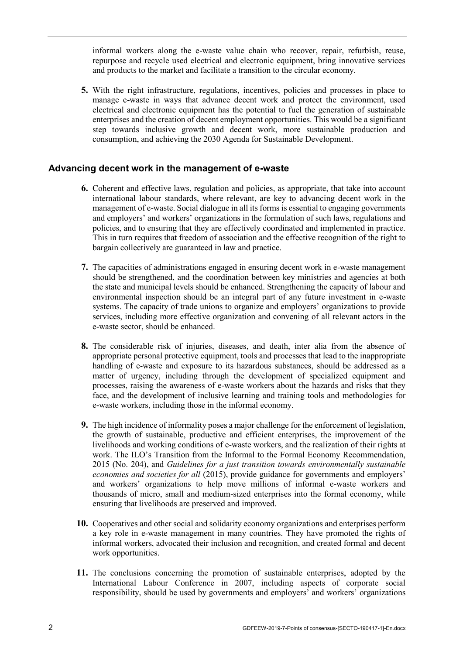informal workers along the e-waste value chain who recover, repair, refurbish, reuse, repurpose and recycle used electrical and electronic equipment, bring innovative services and products to the market and facilitate a transition to the circular economy.

**5.** With the right infrastructure, regulations, incentives, policies and processes in place to manage e-waste in ways that advance decent work and protect the environment, used electrical and electronic equipment has the potential to fuel the generation of sustainable enterprises and the creation of decent employment opportunities. This would be a significant step towards inclusive growth and decent work, more sustainable production and consumption, and achieving the 2030 Agenda for Sustainable Development.

## **Advancing decent work in the management of e-waste**

- **6.** Coherent and effective laws, regulation and policies, as appropriate, that take into account international labour standards, where relevant, are key to advancing decent work in the management of e-waste. Social dialogue in all its forms is essential to engaging governments and employers' and workers' organizations in the formulation of such laws, regulations and policies, and to ensuring that they are effectively coordinated and implemented in practice. This in turn requires that freedom of association and the effective recognition of the right to bargain collectively are guaranteed in law and practice.
- **7.** The capacities of administrations engaged in ensuring decent work in e-waste management should be strengthened, and the coordination between key ministries and agencies at both the state and municipal levels should be enhanced. Strengthening the capacity of labour and environmental inspection should be an integral part of any future investment in e-waste systems. The capacity of trade unions to organize and employers' organizations to provide services, including more effective organization and convening of all relevant actors in the e-waste sector, should be enhanced.
- **8.** The considerable risk of injuries, diseases, and death, inter alia from the absence of appropriate personal protective equipment, tools and processes that lead to the inappropriate handling of e-waste and exposure to its hazardous substances, should be addressed as a matter of urgency, including through the development of specialized equipment and processes, raising the awareness of e-waste workers about the hazards and risks that they face, and the development of inclusive learning and training tools and methodologies for e-waste workers, including those in the informal economy.
- **9.** The high incidence of informality poses a major challenge for the enforcement of legislation, the growth of sustainable, productive and efficient enterprises, the improvement of the livelihoods and working conditions of e-waste workers, and the realization of their rights at work. The ILO's Transition from the Informal to the Formal Economy Recommendation, 2015 (No. 204), and *Guidelines for a just transition towards environmentally sustainable economies and societies for all* (2015), provide guidance for governments and employers' and workers' organizations to help move millions of informal e-waste workers and thousands of micro, small and medium-sized enterprises into the formal economy, while ensuring that livelihoods are preserved and improved.
- **10.** Cooperatives and other social and solidarity economy organizations and enterprises perform a key role in e-waste management in many countries. They have promoted the rights of informal workers, advocated their inclusion and recognition, and created formal and decent work opportunities.
- **11.** The conclusions concerning the promotion of sustainable enterprises, adopted by the International Labour Conference in 2007, including aspects of corporate social responsibility, should be used by governments and employers<sup>3</sup> and workers<sup>3</sup> organizations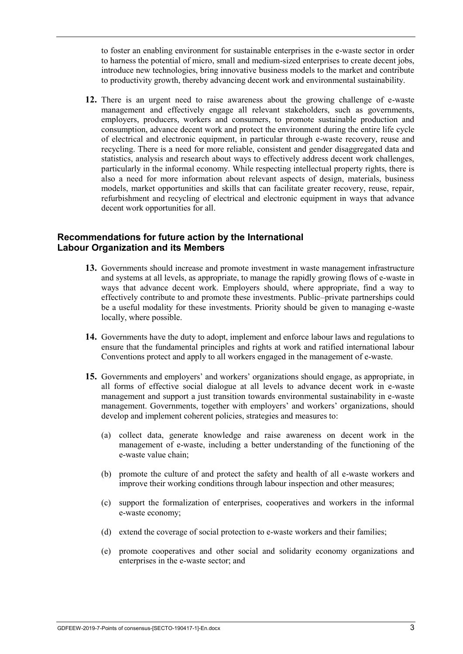to foster an enabling environment for sustainable enterprises in the e-waste sector in order to harness the potential of micro, small and medium-sized enterprises to create decent jobs, introduce new technologies, bring innovative business models to the market and contribute to productivity growth, thereby advancing decent work and environmental sustainability.

**12.** There is an urgent need to raise awareness about the growing challenge of e-waste management and effectively engage all relevant stakeholders, such as governments, employers, producers, workers and consumers, to promote sustainable production and consumption, advance decent work and protect the environment during the entire life cycle of electrical and electronic equipment, in particular through e-waste recovery, reuse and recycling. There is a need for more reliable, consistent and gender disaggregated data and statistics, analysis and research about ways to effectively address decent work challenges, particularly in the informal economy. While respecting intellectual property rights, there is also a need for more information about relevant aspects of design, materials, business models, market opportunities and skills that can facilitate greater recovery, reuse, repair, refurbishment and recycling of electrical and electronic equipment in ways that advance decent work opportunities for all.

## **Recommendations for future action by the International Labour Organization and its Members**

- **13.** Governments should increase and promote investment in waste management infrastructure and systems at all levels, as appropriate, to manage the rapidly growing flows of e-waste in ways that advance decent work. Employers should, where appropriate, find a way to effectively contribute to and promote these investments. Public–private partnerships could be a useful modality for these investments. Priority should be given to managing e-waste locally, where possible.
- **14.** Governments have the duty to adopt, implement and enforce labour laws and regulations to ensure that the fundamental principles and rights at work and ratified international labour Conventions protect and apply to all workers engaged in the management of e-waste.
- **15.** Governments and employers' and workers' organizations should engage, as appropriate, in all forms of effective social dialogue at all levels to advance decent work in e-waste management and support a just transition towards environmental sustainability in e-waste management. Governments, together with employers' and workers' organizations, should develop and implement coherent policies, strategies and measures to:
	- (a) collect data, generate knowledge and raise awareness on decent work in the management of e-waste, including a better understanding of the functioning of the e-waste value chain;
	- (b) promote the culture of and protect the safety and health of all e-waste workers and improve their working conditions through labour inspection and other measures;
	- (c) support the formalization of enterprises, cooperatives and workers in the informal e-waste economy;
	- (d) extend the coverage of social protection to e-waste workers and their families;
	- (e) promote cooperatives and other social and solidarity economy organizations and enterprises in the e-waste sector; and